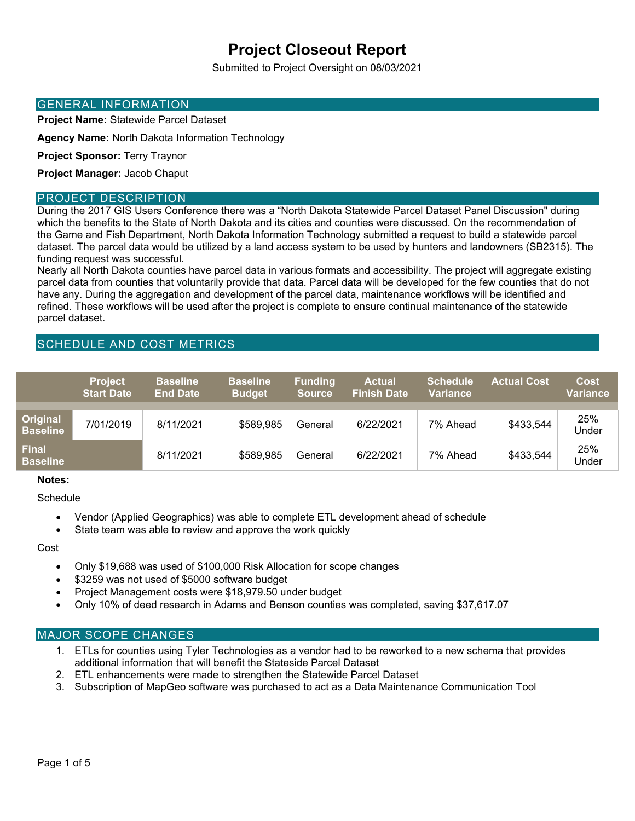# **Project Closeout Report**

Submitted to Project Oversight on 08/03/2021

### GENERAL INFORMATION

**Project Name:** Statewide Parcel Dataset

**Agency Name:** North Dakota Information Technology

**Project Sponsor:** Terry Traynor

**Project Manager:** Jacob Chaput

#### PROJECT DESCRIPTION

During the 2017 GIS Users Conference there was a "North Dakota Statewide Parcel Dataset Panel Discussion" during which the benefits to the State of North Dakota and its cities and counties were discussed. On the recommendation of the Game and Fish Department, North Dakota Information Technology submitted a request to build a statewide parcel dataset. The parcel data would be utilized by a land access system to be used by hunters and landowners (SB2315). The funding request was successful.

Nearly all North Dakota counties have parcel data in various formats and accessibility. The project will aggregate existing parcel data from counties that voluntarily provide that data. Parcel data will be developed for the few counties that do not have any. During the aggregation and development of the parcel data, maintenance workflows will be identified and refined. These workflows will be used after the project is complete to ensure continual maintenance of the statewide parcel dataset.

# SCHEDULE AND COST METRICS

|                                 | <b>Project</b><br><b>Start Date</b> | <b>Baseline</b><br><b>End Date</b> | <b>Baseline</b><br><b>Budget</b> | <b>Funding</b><br><b>Source</b> | <b>Actual</b><br><b>Finish Date</b> | <b>Schedule</b><br><b>Variance</b> | <b>Actual Cost</b> | Cost<br>Variance |
|---------------------------------|-------------------------------------|------------------------------------|----------------------------------|---------------------------------|-------------------------------------|------------------------------------|--------------------|------------------|
| Original<br><b>Baseline</b>     | 7/01/2019                           | 8/11/2021                          | \$589,985                        | General                         | 6/22/2021                           | 7% Ahead                           | \$433,544          | 25%<br>Under     |
| <b>Final</b><br><b>Baseline</b> |                                     | 8/11/2021                          | \$589,985                        | General                         | 6/22/2021                           | 7% Ahead                           | \$433,544          | 25%<br>Under     |

#### **Notes:**

**Schedule** 

- Vendor (Applied Geographics) was able to complete ETL development ahead of schedule
- State team was able to review and approve the work quickly

Cost

- Only \$19,688 was used of \$100,000 Risk Allocation for scope changes
- \$3259 was not used of \$5000 software budget
- Project Management costs were \$18,979.50 under budget
- Only 10% of deed research in Adams and Benson counties was completed, saving \$37,617.07

#### MAJOR SCOPE CHANGES

- 1. ETLs for counties using Tyler Technologies as a vendor had to be reworked to a new schema that provides additional information that will benefit the Stateside Parcel Dataset
- 2. ETL enhancements were made to strengthen the Statewide Parcel Dataset
- 3. Subscription of MapGeo software was purchased to act as a Data Maintenance Communication Tool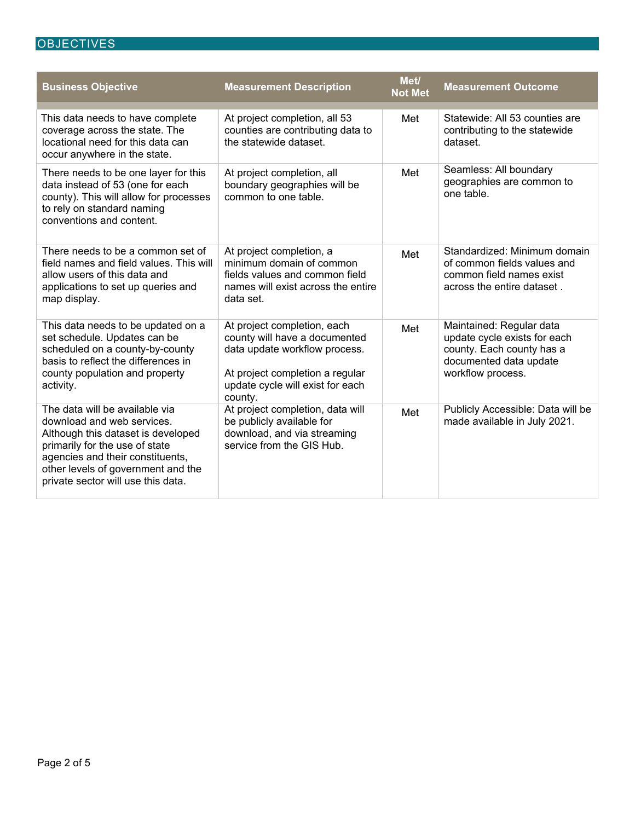# **OBJECTIVES**

| <b>Business Objective</b>                                                                                                                                                                                                                            | <b>Measurement Description</b>                                                                                                                                                  | Met/<br><b>Not Met</b> | <b>Measurement Outcome</b>                                                                                                           |
|------------------------------------------------------------------------------------------------------------------------------------------------------------------------------------------------------------------------------------------------------|---------------------------------------------------------------------------------------------------------------------------------------------------------------------------------|------------------------|--------------------------------------------------------------------------------------------------------------------------------------|
| This data needs to have complete<br>coverage across the state. The<br>locational need for this data can<br>occur anywhere in the state.                                                                                                              | At project completion, all 53<br>counties are contributing data to<br>the statewide dataset.                                                                                    | Met                    | Statewide: All 53 counties are<br>contributing to the statewide<br>dataset.                                                          |
| There needs to be one layer for this<br>data instead of 53 (one for each<br>county). This will allow for processes<br>to rely on standard naming<br>conventions and content.                                                                         | At project completion, all<br>boundary geographies will be<br>common to one table.                                                                                              | Met                    | Seamless: All boundary<br>geographies are common to<br>one table.                                                                    |
| There needs to be a common set of<br>field names and field values. This will<br>allow users of this data and<br>applications to set up queries and<br>map display.                                                                                   | At project completion, a<br>minimum domain of common<br>fields values and common field<br>names will exist across the entire<br>data set.                                       | Met                    | Standardized: Minimum domain<br>of common fields values and<br>common field names exist<br>across the entire dataset.                |
| This data needs to be updated on a<br>set schedule. Updates can be<br>scheduled on a county-by-county<br>basis to reflect the differences in<br>county population and property<br>activity.                                                          | At project completion, each<br>county will have a documented<br>data update workflow process.<br>At project completion a regular<br>update cycle will exist for each<br>county. | Met                    | Maintained: Regular data<br>update cycle exists for each<br>county. Each county has a<br>documented data update<br>workflow process. |
| The data will be available via<br>download and web services.<br>Although this dataset is developed<br>primarily for the use of state<br>agencies and their constituents,<br>other levels of government and the<br>private sector will use this data. | At project completion, data will<br>be publicly available for<br>download, and via streaming<br>service from the GIS Hub.                                                       | Met                    | Publicly Accessible: Data will be<br>made available in July 2021.                                                                    |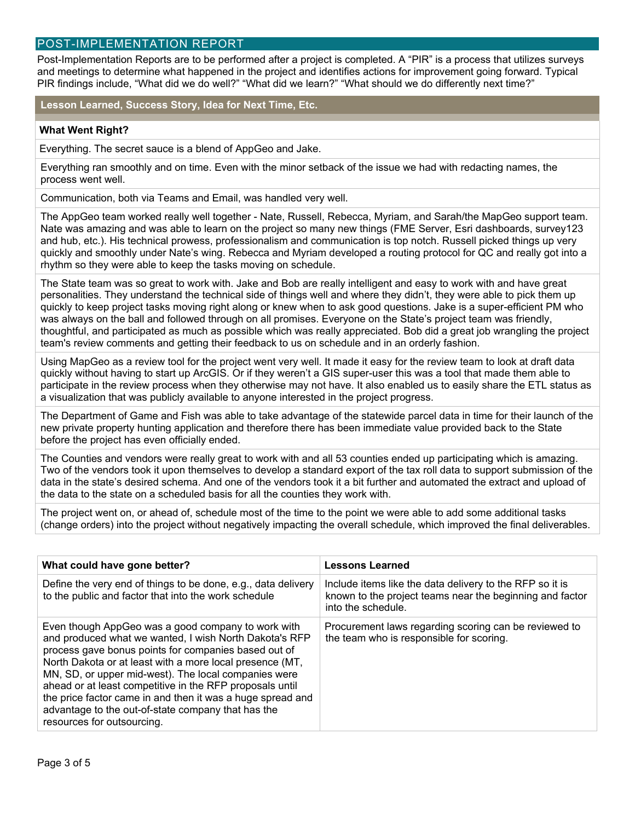# POST-IMPLEMENTATION REPORT

Post-Implementation Reports are to be performed after a project is completed. A "PIR" is a process that utilizes surveys and meetings to determine what happened in the project and identifies actions for improvement going forward. Typical PIR findings include, "What did we do well?" "What did we learn?" "What should we do differently next time?"

**Lesson Learned, Success Story, Idea for Next Time, Etc.** 

#### **What Went Right?**

Everything. The secret sauce is a blend of AppGeo and Jake.

Everything ran smoothly and on time. Even with the minor setback of the issue we had with redacting names, the process went well.

Communication, both via Teams and Email, was handled very well.

The AppGeo team worked really well together - Nate, Russell, Rebecca, Myriam, and Sarah/the MapGeo support team. Nate was amazing and was able to learn on the project so many new things (FME Server, Esri dashboards, survey123 and hub, etc.). His technical prowess, professionalism and communication is top notch. Russell picked things up very quickly and smoothly under Nate's wing. Rebecca and Myriam developed a routing protocol for QC and really got into a rhythm so they were able to keep the tasks moving on schedule.

The State team was so great to work with. Jake and Bob are really intelligent and easy to work with and have great personalities. They understand the technical side of things well and where they didn't, they were able to pick them up quickly to keep project tasks moving right along or knew when to ask good questions. Jake is a super-efficient PM who was always on the ball and followed through on all promises. Everyone on the State's project team was friendly, thoughtful, and participated as much as possible which was really appreciated. Bob did a great job wrangling the project team's review comments and getting their feedback to us on schedule and in an orderly fashion.

Using MapGeo as a review tool for the project went very well. It made it easy for the review team to look at draft data quickly without having to start up ArcGIS. Or if they weren't a GIS super-user this was a tool that made them able to participate in the review process when they otherwise may not have. It also enabled us to easily share the ETL status as a visualization that was publicly available to anyone interested in the project progress.

The Department of Game and Fish was able to take advantage of the statewide parcel data in time for their launch of the new private property hunting application and therefore there has been immediate value provided back to the State before the project has even officially ended.

The Counties and vendors were really great to work with and all 53 counties ended up participating which is amazing. Two of the vendors took it upon themselves to develop a standard export of the tax roll data to support submission of the data in the state's desired schema. And one of the vendors took it a bit further and automated the extract and upload of the data to the state on a scheduled basis for all the counties they work with.

The project went on, or ahead of, schedule most of the time to the point we were able to add some additional tasks (change orders) into the project without negatively impacting the overall schedule, which improved the final deliverables.

| What could have gone better?                                                                                                                                                                                                                                                                                                                                                                                                                                                                           | <b>Lessons Learned</b>                                                                                                                     |  |  |
|--------------------------------------------------------------------------------------------------------------------------------------------------------------------------------------------------------------------------------------------------------------------------------------------------------------------------------------------------------------------------------------------------------------------------------------------------------------------------------------------------------|--------------------------------------------------------------------------------------------------------------------------------------------|--|--|
| Define the very end of things to be done, e.g., data delivery<br>to the public and factor that into the work schedule                                                                                                                                                                                                                                                                                                                                                                                  | Include items like the data delivery to the RFP so it is<br>known to the project teams near the beginning and factor<br>into the schedule. |  |  |
| Even though AppGeo was a good company to work with<br>and produced what we wanted, I wish North Dakota's RFP<br>process gave bonus points for companies based out of<br>North Dakota or at least with a more local presence (MT,<br>MN, SD, or upper mid-west). The local companies were<br>ahead or at least competitive in the RFP proposals until<br>the price factor came in and then it was a huge spread and<br>advantage to the out-of-state company that has the<br>resources for outsourcing. | Procurement laws regarding scoring can be reviewed to<br>the team who is responsible for scoring.                                          |  |  |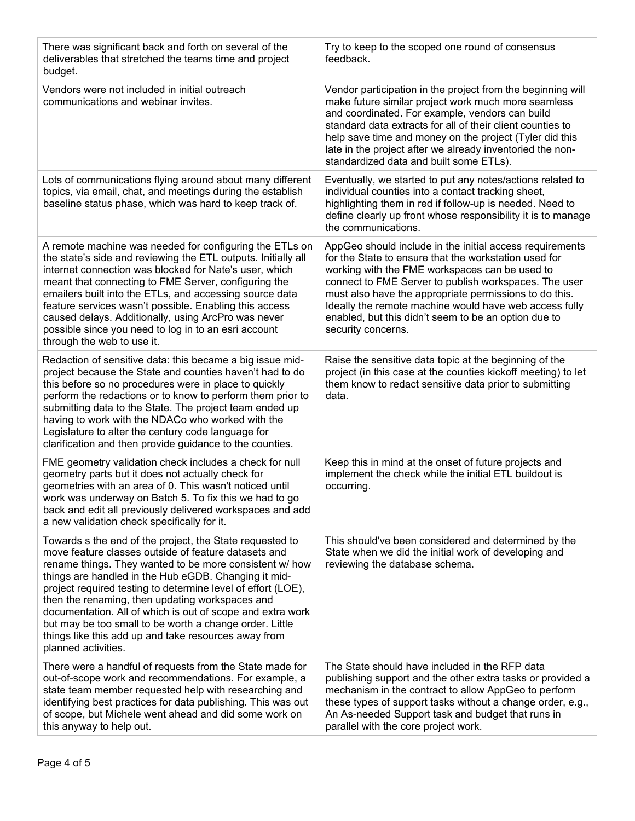| There was significant back and forth on several of the<br>deliverables that stretched the teams time and project<br>budget.                                                                                                                                                                                                                                                                                                                                                                                                                                    | Try to keep to the scoped one round of consensus<br>feedback.                                                                                                                                                                                                                                                                                                                                                                  |
|----------------------------------------------------------------------------------------------------------------------------------------------------------------------------------------------------------------------------------------------------------------------------------------------------------------------------------------------------------------------------------------------------------------------------------------------------------------------------------------------------------------------------------------------------------------|--------------------------------------------------------------------------------------------------------------------------------------------------------------------------------------------------------------------------------------------------------------------------------------------------------------------------------------------------------------------------------------------------------------------------------|
| Vendors were not included in initial outreach<br>communications and webinar invites.                                                                                                                                                                                                                                                                                                                                                                                                                                                                           | Vendor participation in the project from the beginning will<br>make future similar project work much more seamless<br>and coordinated. For example, vendors can build<br>standard data extracts for all of their client counties to<br>help save time and money on the project (Tyler did this<br>late in the project after we already inventoried the non-<br>standardized data and built some ETLs).                         |
| Lots of communications flying around about many different<br>topics, via email, chat, and meetings during the establish<br>baseline status phase, which was hard to keep track of.                                                                                                                                                                                                                                                                                                                                                                             | Eventually, we started to put any notes/actions related to<br>individual counties into a contact tracking sheet,<br>highlighting them in red if follow-up is needed. Need to<br>define clearly up front whose responsibility it is to manage<br>the communications.                                                                                                                                                            |
| A remote machine was needed for configuring the ETLs on<br>the state's side and reviewing the ETL outputs. Initially all<br>internet connection was blocked for Nate's user, which<br>meant that connecting to FME Server, configuring the<br>emailers built into the ETLs, and accessing source data<br>feature services wasn't possible. Enabling this access<br>caused delays. Additionally, using ArcPro was never<br>possible since you need to log in to an esri account<br>through the web to use it.                                                   | AppGeo should include in the initial access requirements<br>for the State to ensure that the workstation used for<br>working with the FME workspaces can be used to<br>connect to FME Server to publish workspaces. The user<br>must also have the appropriate permissions to do this.<br>Ideally the remote machine would have web access fully<br>enabled, but this didn't seem to be an option due to<br>security concerns. |
| Redaction of sensitive data: this became a big issue mid-<br>project because the State and counties haven't had to do<br>this before so no procedures were in place to quickly<br>perform the redactions or to know to perform them prior to<br>submitting data to the State. The project team ended up<br>having to work with the NDACo who worked with the<br>Legislature to alter the century code language for<br>clarification and then provide guidance to the counties.                                                                                 | Raise the sensitive data topic at the beginning of the<br>project (in this case at the counties kickoff meeting) to let<br>them know to redact sensitive data prior to submitting<br>data.                                                                                                                                                                                                                                     |
| FME geometry validation check includes a check for null<br>geometry parts but it does not actually check for<br>geometries with an area of 0. This wasn't noticed until<br>work was underway on Batch 5. To fix this we had to go<br>back and edit all previously delivered workspaces and add<br>a new validation check specifically for it.                                                                                                                                                                                                                  | Keep this in mind at the onset of future projects and<br>implement the check while the initial ETL buildout is<br>occurring.                                                                                                                                                                                                                                                                                                   |
| Towards s the end of the project, the State requested to<br>move feature classes outside of feature datasets and<br>rename things. They wanted to be more consistent w/ how<br>things are handled in the Hub eGDB. Changing it mid-<br>project required testing to determine level of effort (LOE),<br>then the renaming, then updating workspaces and<br>documentation. All of which is out of scope and extra work<br>but may be too small to be worth a change order. Little<br>things like this add up and take resources away from<br>planned activities. | This should've been considered and determined by the<br>State when we did the initial work of developing and<br>reviewing the database schema.                                                                                                                                                                                                                                                                                 |
| There were a handful of requests from the State made for<br>out-of-scope work and recommendations. For example, a<br>state team member requested help with researching and<br>identifying best practices for data publishing. This was out<br>of scope, but Michele went ahead and did some work on<br>this anyway to help out.                                                                                                                                                                                                                                | The State should have included in the RFP data<br>publishing support and the other extra tasks or provided a<br>mechanism in the contract to allow AppGeo to perform<br>these types of support tasks without a change order, e.g.,<br>An As-needed Support task and budget that runs in<br>parallel with the core project work.                                                                                                |